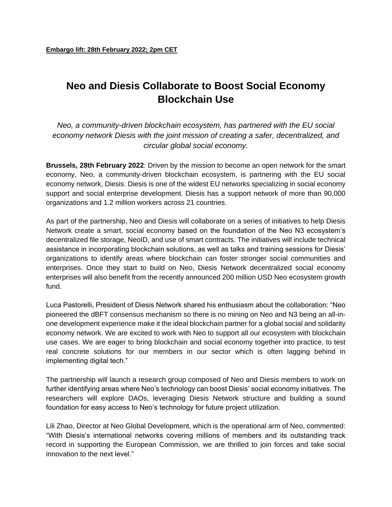## **Neo and Diesis Collaborate to Boost Social Economy Blockchain Use**

*Neo, a community-driven blockchain ecosystem, has partnered with the EU social economy network Diesis with the joint mission of creating a safer, decentralized, and circular global social economy.*

**Brussels, 28th February 2022**: Driven by the mission to become an open network for the smart economy, Neo, a community-driven blockchain ecosystem, is partnering with the EU social economy network, Diesis. Diesis is one of the widest EU networks specializing in social economy support and social enterprise development. Diesis has a support network of more than 90,000 organizations and 1.2 million workers across 21 countries.

As part of the partnership, Neo and Diesis will collaborate on a series of initiatives to help Diesis Network create a smart, social economy based on the foundation of the Neo N3 ecosystem's decentralized file storage, NeoID, and use of smart contracts. The initiatives will include technical assistance in incorporating blockchain solutions, as well as talks and training sessions for Diesis' organizations to identify areas where blockchain can foster stronger social communities and enterprises. Once they start to build on Neo, Diesis Network decentralized social economy enterprises will also benefit from the recently announced 200 million USD Neo ecosystem growth fund.

Luca Pastorelli, President of Diesis Network shared his enthusiasm about the collaboration: "Neo pioneered the dBFT consensus mechanism so there is no mining on Neo and N3 being an all-inone development experience make it the ideal blockchain partner for a global social and solidarity economy network. We are excited to work with Neo to support all our ecosystem with blockchain use cases. We are eager to bring blockchain and social economy together into practice, to test real concrete solutions for our members in our sector which is often lagging behind in implementing digital tech."

The partnership will launch a research group composed of Neo and Diesis members to work on further identifying areas where Neo's technology can boost Diesis' social economy initiatives. The researchers will explore DAOs, leveraging Diesis Network structure and building a sound foundation for easy access to Neo's technology for future project utilization.

Lili Zhao, Director at Neo Global Development, which is the operational arm of Neo, commented: "With Diesis's international networks covering millions of members and its outstanding track record in supporting the European Commission, we are thrilled to join forces and take social innovation to the next level."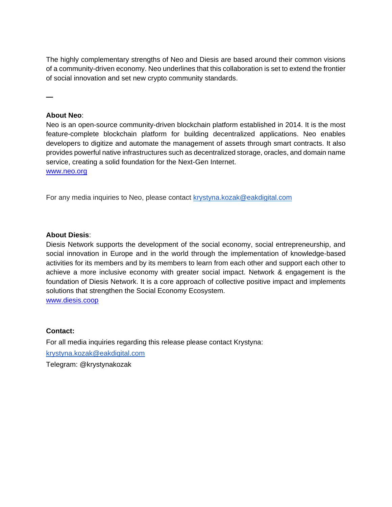The highly complementary strengths of Neo and Diesis are based around their common visions of a community-driven economy. Neo underlines that this collaboration is set to extend the frontier of social innovation and set new crypto community standards.

**—**

## **About Neo**:

Neo is an open-source community-driven blockchain platform established in 2014. It is the most feature-complete blockchain platform for building decentralized applications. Neo enables developers to digitize and automate the management of assets through smart contracts. It also provides powerful native infrastructures such as decentralized storage, oracles, and domain name service, creating a solid foundation for the Next-Gen Internet.

[www.neo.org](http://www.neo.org/)

For any media inquiries to Neo, please contact krystyna.kozak@eakdigital.com

## **About Diesis**:

Diesis Network supports the development of the social economy, social entrepreneurship, and social innovation in Europe and in the world through the implementation of knowledge-based activities for its members and by its members to learn from each other and support each other to achieve a more inclusive economy with greater social impact. Network & engagement is the foundation of Diesis Network. It is a core approach of collective positive impact and implements solutions that strengthen the Social Economy Ecosystem.

[www.diesis.coop](http://www.diesis.coop/)

## **Contact:**

For all media inquiries regarding this release please contact Krystyna: [krystyna.kozak@eakdigital.com](mailto:krystyna.kozak@eakdigital.com) Telegram: @krystynakozak